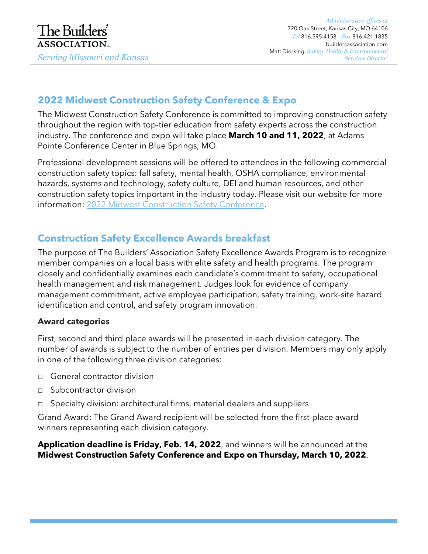# **2022 Midwest Construction Safety Conference & Expo**

The Midwest Construction Safety Conference is committed to improving construction safety throughout the region with top-tier education from safety experts across the construction industry. The conference and expo will take place **March 10 and 11, 2022**, at Adams Pointe Conference Center in Blue Springs, MO.

Professional development sessions will be offered to attendees in the following commercial construction safety topics: fall safety, mental health, OSHA compliance, environmental hazards, systems and technology, safety culture, DEI and human resources, and other construction safety topics important in the industry today. Please visit our website for more information: 2022 Midwest Construction Safety Conference.

### **Construction Safety Excellence Awards breakfast**

The purpose of The Builders' Association Safety Excellence Awards Program is to recognize member companies on a local basis with elite safety and health programs. The program closely and confidentially examines each candidate's commitment to safety, occupational health management and risk management. Judges look for evidence of company management commitment, active employee participation, safety training, work-site hazard identification and control, and safety program innovation.

#### **Award categories**

First, second and third place awards will be presented in each division category. The number of awards is subject to the number of entries per division. Members may only apply in one of the following three division categories:

- □ General contractor division
- $\Box$  Subcontractor division
- □ Specialty division: architectural firms, material dealers and suppliers

Grand Award: The Grand Award recipient will be selected from the first-place award winners representing each division category.

**Application deadline is Friday, Feb. 14, 2022**, and winners will be announced at the **Midwest Construction Safety Conference and Expo on Thursday, March 10, 2022**.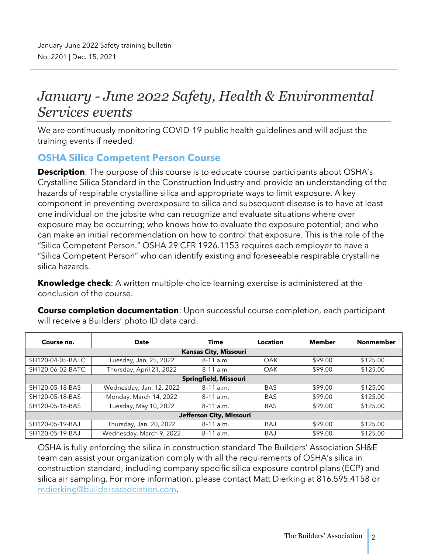# *January - June 2022 Safety, Health & Environmental Services events*

We are continuously monitoring COVID-19 public health guidelines and will adjust the training events if needed.

#### **OSHA Silica Competent Person Course**

**Description**: The purpose of this course is to educate course participants about OSHA's Crystalline Silica Standard in the Construction Industry and provide an understanding of the hazards of respirable crystalline silica and appropriate ways to limit exposure. A key component in preventing overexposure to silica and subsequent disease is to have at least one individual on the jobsite who can recognize and evaluate situations where over exposure may be occurring; who knows how to evaluate the exposure potential; and who can make an initial recommendation on how to control that exposure. This is the role of the "Silica Competent Person." OSHA 29 CFR 1926.1153 requires each employer to have a "Silica Competent Person" who can identify existing and foreseeable respirable crystalline silica hazards.

**Knowledge check**: A written multiple-choice learning exercise is administered at the conclusion of the course.

**Course completion documentation**: Upon successful course completion, each participant will receive a Builders' photo ID data card.

| Course no.               | <b>Date</b>              | <b>Time</b>                  | Location   | Member  | <b>Nonmember</b> |  |
|--------------------------|--------------------------|------------------------------|------------|---------|------------------|--|
|                          |                          | <b>Kansas City, Missouri</b> |            |         |                  |  |
| SH120-04-05-BATC         | Tuesday, Jan. 25, 2022   | $8-11$ a.m.                  | OAK        | \$99.00 | \$125.00         |  |
| SH120-06-02-BATC         | Thursday, April 21, 2022 | 8-11 a.m.                    | OAK        | \$99.00 | \$125.00         |  |
| Springfield, Missouri    |                          |                              |            |         |                  |  |
| SH120-05-18-BAS          | Wednesday, Jan. 12, 2022 | $8-11$ a.m.                  | <b>BAS</b> | \$99.00 | \$125.00         |  |
| SH120-05-18-BAS          | Monday, March 14, 2022   | $8-11$ a.m.                  | <b>BAS</b> | \$99.00 | \$125.00         |  |
| SH120-05-18-BAS          | Tuesday, May 10, 2022    | $8-11$ a.m.                  | <b>BAS</b> | \$99.00 | \$125.00         |  |
| Jefferson City, Missouri |                          |                              |            |         |                  |  |
| SH120-05-19-BAJ          | Thursday, Jan. 20, 2022  | $8-11$ a.m.                  | <b>BAJ</b> | \$99.00 | \$125.00         |  |
| SH120-05-19-BAJ          | Wednesday, March 9, 2022 | $8-11$ a.m.                  | <b>BAJ</b> | \$99.00 | \$125.00         |  |

OSHA is fully enforcing the silica in construction standard The Builders' Association SH&E team can assist your organization comply with all the requirements of OSHA's silica in construction standard, including company specific silica exposure control plans (ECP) and silica air sampling. For more information, please contact Matt Dierking at 816.595.4158 or mdierking@buildersassociation.com.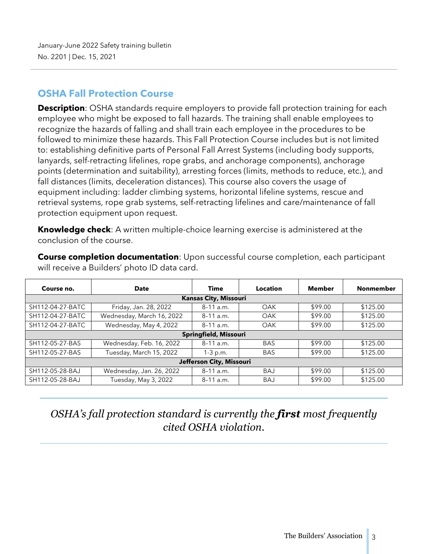#### **OSHA Fall Protection Course**

**Description**: OSHA standards require employers to provide fall protection training for each employee who might be exposed to fall hazards. The training shall enable employees to recognize the hazards of falling and shall train each employee in the procedures to be followed to minimize these hazards. This Fall Protection Course includes but is not limited to: establishing definitive parts of Personal Fall Arrest Systems (including body supports, lanyards, self-retracting lifelines, rope grabs, and anchorage components), anchorage points (determination and suitability), arresting forces (limits, methods to reduce, etc.), and fall distances (limits, deceleration distances). This course also covers the usage of equipment including: ladder climbing systems, horizontal lifeline systems, rescue and retrieval systems, rope grab systems, self-retracting lifelines and care/maintenance of fall protection equipment upon request.

**Knowledge check**: A written multiple-choice learning exercise is administered at the conclusion of the course.

**Course completion documentation**: Upon successful course completion, each participant will receive a Builders' photo ID data card.

| Course no.               | <b>Date</b>               | Time                         | Location   | <b>Member</b> | <b>Nonmember</b> |  |
|--------------------------|---------------------------|------------------------------|------------|---------------|------------------|--|
|                          |                           | <b>Kansas City, Missouri</b> |            |               |                  |  |
| SH112-04-27-BATC         | Friday, Jan. 28, 2022     | $8-11$ a.m.                  | OAK        | \$99.00       | \$125.00         |  |
| SH112-04-27-BATC         | Wednesday, March 16, 2022 | $8-11$ a.m.                  | OAK        | \$99.00       | \$125.00         |  |
| SH112-04-27-BATC         | Wednesday, May 4, 2022    | $8-11$ a.m.                  | <b>OAK</b> | \$99.00       | \$125.00         |  |
|                          |                           | Springfield, Missouri        |            |               |                  |  |
| SH112-05-27-BAS          | Wednesday, Feb. 16, 2022  | $8-11$ a.m.                  | <b>BAS</b> | \$99.00       | \$125.00         |  |
| SH112-05-27-BAS          | Tuesday, March 15, 2022   | $1-3$ p.m.                   | <b>BAS</b> | \$99.00       | \$125.00         |  |
| Jefferson City, Missouri |                           |                              |            |               |                  |  |
| SH112-05-28-BAJ          | Wednesday, Jan. 26, 2022  | $8-11$ a.m.                  | <b>BAJ</b> | \$99.00       | \$125.00         |  |
| SH112-05-28-BAJ          | Tuesday, May 3, 2022      | $8-11$ a.m.                  | BAJ        | \$99.00       | \$125.00         |  |

# *OSHA's fall protection standard is currently the first most frequently cited OSHA violation.*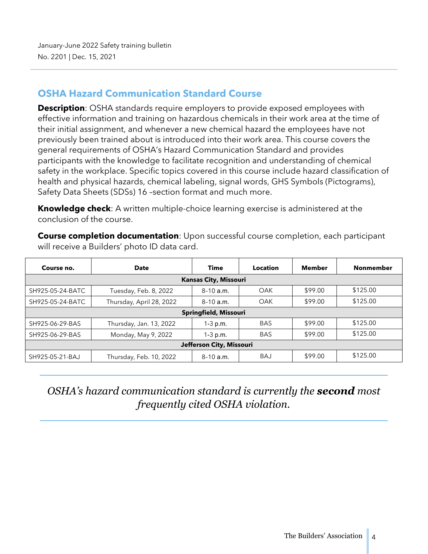#### **OSHA Hazard Communication Standard Course**

**Description**: OSHA standards require employers to provide exposed employees with effective information and training on hazardous chemicals in their work area at the time of their initial assignment, and whenever a new chemical hazard the employees have not previously been trained about is introduced into their work area. This course covers the general requirements of OSHA's Hazard Communication Standard and provides participants with the knowledge to facilitate recognition and understanding of chemical safety in the workplace. Specific topics covered in this course include hazard classification of health and physical hazards, chemical labeling, signal words, GHS Symbols (Pictograms), Safety Data Sheets (SDSs) 16 –section format and much more.

**Knowledge check**: A written multiple-choice learning exercise is administered at the conclusion of the course.

**Course completion documentation**: Upon successful course completion, each participant will receive a Builders' photo ID data card.

| Course no.               | <b>Date</b>              | Time                  | <b>Location</b> | Member  | <b>Nonmember</b> |  |  |
|--------------------------|--------------------------|-----------------------|-----------------|---------|------------------|--|--|
|                          |                          | Kansas City, Missouri |                 |         |                  |  |  |
| SH925-05-24-BATC         | Tuesday, Feb. 8, 2022    | $8-10a.m.$            | OAK             | \$99.00 | \$125.00         |  |  |
| SH925-05-24-BATC         | Thursday, April 28, 2022 | $8-10$ a.m.           | OAK             | \$99.00 | \$125.00         |  |  |
|                          | Springfield, Missouri    |                       |                 |         |                  |  |  |
| SH925-06-29-BAS          | Thursday, Jan. 13, 2022  | $1-3$ p.m.            | <b>BAS</b>      | \$99.00 | \$125.00         |  |  |
| SH925-06-29-BAS          | Monday, May 9, 2022      | $1 - 3 p.m.$          | <b>BAS</b>      | \$99.00 | \$125.00         |  |  |
| Jefferson City, Missouri |                          |                       |                 |         |                  |  |  |
| SH925-05-21-BAJ          | Thursday, Feb. 10, 2022  | $8-10a.m.$            | BAJ             | \$99.00 | \$125.00         |  |  |

# *OSHA's hazard communication standard is currently the second most frequently cited OSHA violation.*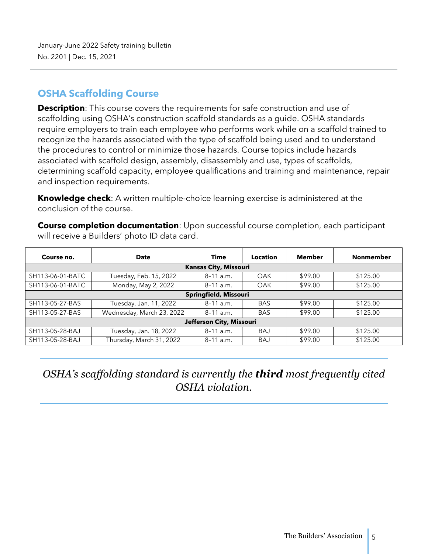#### **OSHA Scaffolding Course**

**Description**: This course covers the requirements for safe construction and use of scaffolding using OSHA's construction scaffold standards as a guide. OSHA standards require employers to train each employee who performs work while on a scaffold trained to recognize the hazards associated with the type of scaffold being used and to understand the procedures to control or minimize those hazards. Course topics include hazards associated with scaffold design, assembly, disassembly and use, types of scaffolds, determining scaffold capacity, employee qualifications and training and maintenance, repair and inspection requirements.

**Knowledge check**: A written multiple-choice learning exercise is administered at the conclusion of the course.

**Course completion documentation**: Upon successful course completion, each participant will receive a Builders' photo ID data card.

| Course no.               | Date                      | Time                         | Location   | <b>Member</b> | <b>Nonmember</b> |  |
|--------------------------|---------------------------|------------------------------|------------|---------------|------------------|--|
|                          |                           | <b>Kansas City, Missouri</b> |            |               |                  |  |
| SH113-06-01-BATC         | Tuesday, Feb. 15, 2022    | $8-11$ a.m.                  | OAK        | \$99.00       | \$125.00         |  |
| SH113-06-01-BATC         | Monday, May 2, 2022       | $8-11$ a.m.                  | <b>OAK</b> | \$99.00       | \$125.00         |  |
| Springfield, Missouri    |                           |                              |            |               |                  |  |
| SH113-05-27-BAS          | Tuesday, Jan. 11, 2022    | $8-11$ a.m.                  | <b>BAS</b> | \$99.00       | \$125.00         |  |
| SH113-05-27-BAS          | Wednesday, March 23, 2022 | $8-11$ a.m.                  | <b>BAS</b> | \$99.00       | \$125.00         |  |
| Jefferson City, Missouri |                           |                              |            |               |                  |  |
| SH113-05-28-BAJ          | Tuesday, Jan. 18, 2022    | $8-11$ a.m.                  | <b>BAJ</b> | \$99.00       | \$125.00         |  |
| SH113-05-28-BAJ          | Thursday, March 31, 2022  | $8-11$ a.m.                  | <b>BAJ</b> | \$99.00       | \$125.00         |  |

# *OSHA's scaffolding standard is currently the third most frequently cited OSHA violation.*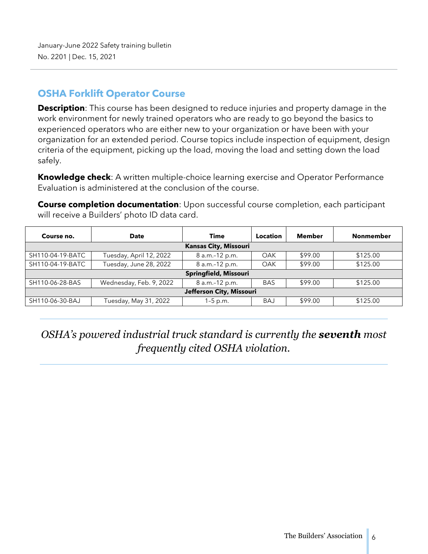#### **OSHA Forklift Operator Course**

**Description**: This course has been designed to reduce injuries and property damage in the work environment for newly trained operators who are ready to go beyond the basics to experienced operators who are either new to your organization or have been with your organization for an extended period. Course topics include inspection of equipment, design criteria of the equipment, picking up the load, moving the load and setting down the load safely.

**Knowledge check**: A written multiple-choice learning exercise and Operator Performance Evaluation is administered at the conclusion of the course.

**Course completion documentation**: Upon successful course completion, each participant will receive a Builders' photo ID data card.

| Course no.               | <b>Date</b>             | Time                         | Location   | Member  | <b>Nonmember</b> |  |
|--------------------------|-------------------------|------------------------------|------------|---------|------------------|--|
|                          |                         | <b>Kansas City, Missouri</b> |            |         |                  |  |
| SH110-04-19-BATC         | Tuesday, April 12, 2022 | 8 a.m.-12 p.m.               | OAK        | \$99.00 | \$125.00         |  |
| SH110-04-19-BATC         | Tuesday, June 28, 2022  | 8 a.m.-12 p.m.               | <b>OAK</b> | \$99.00 | \$125.00         |  |
|                          |                         | Springfield, Missouri        |            |         |                  |  |
| SH110-06-28-BAS          | Wednesday, Feb. 9, 2022 | 8 a.m.-12 p.m.               | <b>BAS</b> | \$99.00 | \$125.00         |  |
| Jefferson City, Missouri |                         |                              |            |         |                  |  |
| SH110-06-30-BAJ          | Tuesday, May 31, 2022   | $1-5$ p.m.                   | <b>BAJ</b> | \$99.00 | \$125.00         |  |

*OSHA's powered industrial truck standard is currently the seventh most frequently cited OSHA violation.*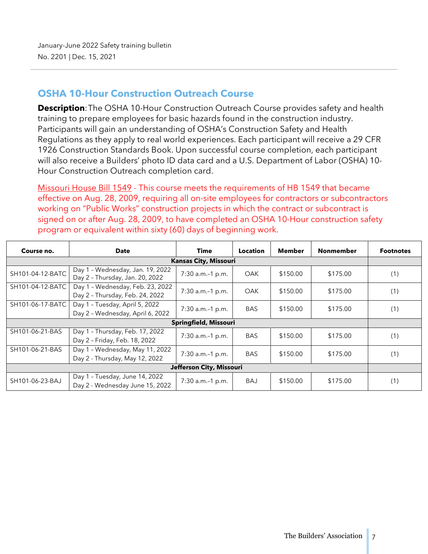#### **OSHA 10-Hour Construction Outreach Course**

**Description**: The OSHA 10-Hour Construction Outreach Course provides safety and health training to prepare employees for basic hazards found in the construction industry. Participants will gain an understanding of OSHA's Construction Safety and Health Regulations as they apply to real world experiences. Each participant will receive a 29 CFR 1926 Construction Standards Book. Upon successful course completion, each participant will also receive a Builders' photo ID data card and a U.S. Department of Labor (OSHA) 10- Hour Construction Outreach completion card.

Missouri House Bill 1549 - This course meets the requirements of HB 1549 that became effective on Aug. 28, 2009, requiring all on-site employees for contractors or subcontractors working on "Public Works" construction projects in which the contract or subcontract is signed on or after Aug. 28, 2009, to have completed an OSHA 10-Hour construction safety program or equivalent within sixty (60) days of beginning work.

| Course no.       | <b>Date</b>                                                         | Time                         | <b>Location</b> | Member   | <b>Nonmember</b> | <b>Footnotes</b> |
|------------------|---------------------------------------------------------------------|------------------------------|-----------------|----------|------------------|------------------|
|                  |                                                                     | <b>Kansas City, Missouri</b> |                 |          |                  |                  |
| SH101-04-12-BATC | Day 1 - Wednesday, Jan. 19, 2022<br>Day 2 - Thursday, Jan. 20, 2022 | 7:30 a.m.-1 p.m.             | OAK             | \$150.00 | \$175.00         | (1)              |
| SH101-04-12-BATC | Day 1 - Wednesday, Feb. 23, 2022<br>Day 2 - Thursday, Feb. 24, 2022 | 7:30 a.m.-1 p.m.             | <b>OAK</b>      | \$150.00 | \$175.00         | (1)              |
| SH101-06-17-BATC | Day 1 - Tuesday, April 5, 2022<br>Day 2 - Wednesday, April 6, 2022  | 7:30 a.m.-1 p.m.             | <b>BAS</b>      | \$150.00 | \$175.00         | (1)              |
|                  |                                                                     | Springfield, Missouri        |                 |          |                  |                  |
| SH101-06-21-BAS  | Day 1 - Thursday, Feb. 17, 2022<br>Day 2 - Friday, Feb. 18, 2022    | 7:30 a.m.-1 p.m.             | <b>BAS</b>      | \$150.00 | \$175.00         | (1)              |
| SH101-06-21-BAS  | Day 1 - Wednesday, May 11, 2022<br>Day 2 - Thursday, May 12, 2022   | 7:30 a.m.-1 p.m.             | <b>BAS</b>      | \$150.00 | \$175.00         | (1)              |
|                  |                                                                     | Jefferson City, Missouri     |                 |          |                  |                  |
| SH101-06-23-BAJ  | Day 1 - Tuesday, June 14, 2022<br>Day 2 - Wednesday June 15, 2022   | 7:30 a.m.-1 p.m.             | BAJ             | \$150.00 | \$175.00         | (1)              |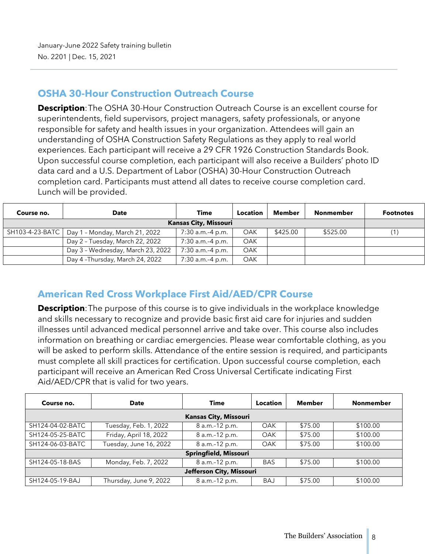#### **OSHA 30-Hour Construction Outreach Course**

**Description**: The OSHA 30-Hour Construction Outreach Course is an excellent course for superintendents, field supervisors, project managers, safety professionals, or anyone responsible for safety and health issues in your organization. Attendees will gain an understanding of OSHA Construction Safety Regulations as they apply to real world experiences. Each participant will receive a 29 CFR 1926 Construction Standards Book. Upon successful course completion, each participant will also receive a Builders' photo ID data card and a U.S. Department of Labor (OSHA) 30-Hour Construction Outreach completion card. Participants must attend all dates to receive course completion card. Lunch will be provided.

| Course no.                   | <b>Date</b>                       | <b>Time</b>      | <b>Location</b> | Member   | <b>Nonmember</b> | <b>Footnotes</b> |
|------------------------------|-----------------------------------|------------------|-----------------|----------|------------------|------------------|
| <b>Kansas City, Missouri</b> |                                   |                  |                 |          |                  |                  |
| SH103-4-23-BATC              | Day 1 - Monday, March 21, 2022    | 7:30 a.m.-4 p.m. | OAK             | \$425.00 | \$525.00         |                  |
|                              | Day 2 - Tuesday, March 22, 2022   | 7:30 a.m.-4 p.m. | <b>OAK</b>      |          |                  |                  |
|                              | Day 3 - Wednesday, March 23, 2022 | 7:30 a.m.-4 p.m. | <b>OAK</b>      |          |                  |                  |
|                              | Day 4-Thursday, March 24, 2022    | 7:30 a.m.-4 p.m. | OAK             |          |                  |                  |

### **American Red Cross Workplace First Aid/AED/CPR Course**

**Description**: The purpose of this course is to give individuals in the workplace knowledge and skills necessary to recognize and provide basic first aid care for injuries and sudden illnesses until advanced medical personnel arrive and take over. This course also includes information on breathing or cardiac emergencies. Please wear comfortable clothing, as you will be asked to perform skills. Attendance of the entire session is required, and participants must complete all skill practices for certification. Upon successful course completion, each participant will receive an American Red Cross Universal Certificate indicating First Aid/AED/CPR that is valid for two years.

| Course no.               | <b>Date</b>            | <b>Time</b>                  | Location   | Member  | <b>Nonmember</b> |
|--------------------------|------------------------|------------------------------|------------|---------|------------------|
|                          |                        | <b>Kansas City, Missouri</b> |            |         |                  |
| SH124-04-02-BATC         | Tuesday, Feb. 1, 2022  | 8 a.m.-12 p.m.               | OAK        | \$75.00 | \$100.00         |
| SH124-05-25-BATC         | Friday, April 18, 2022 | 8 a.m.-12 p.m.               | OAK        | \$75.00 | \$100.00         |
| SH124-06-03-BATC         | Tuesday, June 16, 2022 | 8 a.m.-12 p.m.               | <b>OAK</b> | \$75.00 | \$100.00         |
|                          |                        | Springfield, Missouri        |            |         |                  |
| SH124-05-18-BAS          | Monday, Feb. 7, 2022   | 8 a.m.-12 p.m.               | <b>BAS</b> | \$75.00 | \$100.00         |
| Jefferson City, Missouri |                        |                              |            |         |                  |
| SH124-05-19-BAJ          | Thursday, June 9, 2022 | 8 a.m.-12 p.m.               | <b>BAJ</b> | \$75.00 | \$100.00         |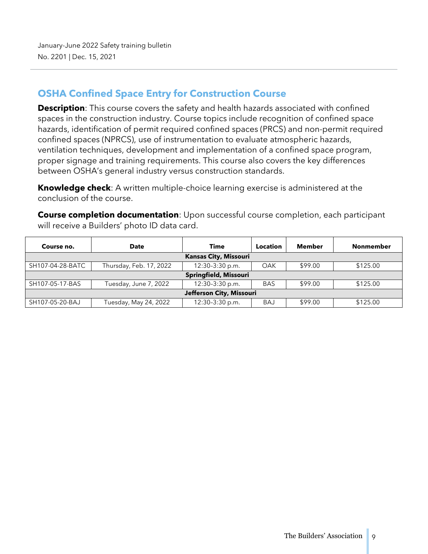#### **OSHA Confined Space Entry for Construction Course**

**Description**: This course covers the safety and health hazards associated with confined spaces in the construction industry. Course topics include recognition of confined space hazards, identification of permit required confined spaces (PRCS) and non-permit required confined spaces (NPRCS), use of instrumentation to evaluate atmospheric hazards, ventilation techniques, development and implementation of a confined space program, proper signage and training requirements. This course also covers the key differences between OSHA's general industry versus construction standards.

**Knowledge check**: A written multiple-choice learning exercise is administered at the conclusion of the course.

**Course completion documentation**: Upon successful course completion, each participant will receive a Builders' photo ID data card.

| Course no.                   | <b>Date</b>             | Time                  | Location   | Member  | <b>Nonmember</b> |  |
|------------------------------|-------------------------|-----------------------|------------|---------|------------------|--|
| <b>Kansas City, Missouri</b> |                         |                       |            |         |                  |  |
| SH107-04-28-BATC             | Thursday, Feb. 17, 2022 | 12:30-3:30 p.m.       | OAK        | \$99.00 | \$125.00         |  |
|                              |                         | Springfield, Missouri |            |         |                  |  |
| SH107-05-17-BAS              | Tuesday, June 7, 2022   | 12:30-3:30 p.m.       | <b>BAS</b> | \$99.00 | \$125.00         |  |
| Jefferson City, Missouri     |                         |                       |            |         |                  |  |
| SH107-05-20-BAJ              | Tuesday, May 24, 2022   | 12:30-3:30 p.m.       | <b>BAJ</b> | \$99.00 | \$125.00         |  |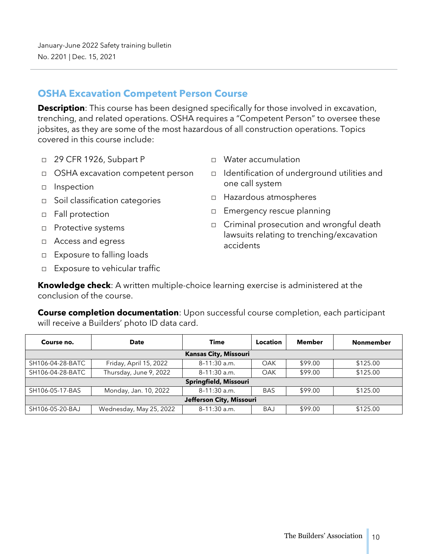#### **OSHA Excavation Competent Person Course**

**Description**: This course has been designed specifically for those involved in excavation, trenching, and related operations. OSHA requires a "Competent Person" to oversee these jobsites, as they are some of the most hazardous of all construction operations. Topics covered in this course include:

- □ 29 CFR 1926, Subpart P
- □ OSHA excavation competent person
- □ Inspection
- □ Soil classification categories
- □ Fall protection
- □ Protective systems
- □ Access and egress
- □ Exposure to falling loads
- □ Exposure to vehicular traffic
- Water accumulation
- Identification of underground utilities and one call system
- □ Hazardous atmospheres
- □ Emergency rescue planning
- $\Box$  Criminal prosecution and wrongful death lawsuits relating to trenching/excavation accidents

**Knowledge check**: A written multiple-choice learning exercise is administered at the conclusion of the course.

**Course completion documentation**: Upon successful course completion, each participant will receive a Builders' photo ID data card.

| Course no.               | <b>Date</b>             | <b>Time</b>                  | <b>Location</b> | <b>Member</b> | <b>Nonmember</b> |
|--------------------------|-------------------------|------------------------------|-----------------|---------------|------------------|
|                          |                         | <b>Kansas City, Missouri</b> |                 |               |                  |
| SH106-04-28-BATC         | Friday, April 15, 2022  | 8-11:30 a.m.                 | OAK             | \$99.00       | \$125.00         |
| SH106-04-28-BATC         | Thursday, June 9, 2022  | 8-11:30 a.m.                 | OAK             | \$99.00       | \$125.00         |
|                          |                         | Springfield, Missouri        |                 |               |                  |
| SH106-05-17-BAS          | Monday, Jan. 10, 2022   | 8-11:30 a.m.                 | <b>BAS</b>      | \$99.00       | \$125.00         |
| Jefferson City, Missouri |                         |                              |                 |               |                  |
| SH106-05-20-BAJ          | Wednesday, May 25, 2022 | 8-11:30 a.m.                 | <b>BAJ</b>      | \$99.00       | \$125.00         |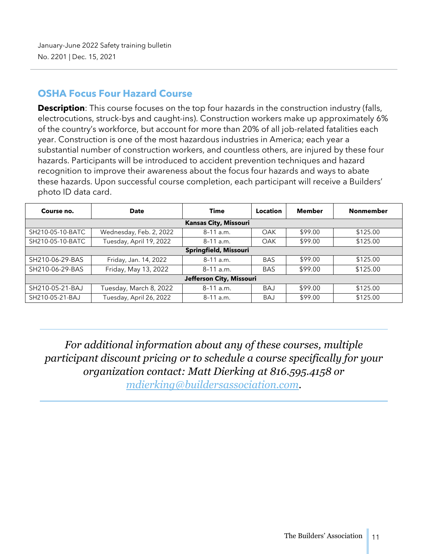#### **OSHA Focus Four Hazard Course**

**Description**: This course focuses on the top four hazards in the construction industry (falls, electrocutions, struck-bys and caught-ins). Construction workers make up approximately 6% of the country's workforce, but account for more than 20% of all job-related fatalities each year. Construction is one of the most hazardous industries in America; each year a substantial number of construction workers, and countless others, are injured by these four hazards. Participants will be introduced to accident prevention techniques and hazard recognition to improve their awareness about the focus four hazards and ways to abate these hazards. Upon successful course completion, each participant will receive a Builders' photo ID data card.

| Course no.               | <b>Date</b>             | Time                         | Location   | <b>Member</b> | <b>Nonmember</b> |  |
|--------------------------|-------------------------|------------------------------|------------|---------------|------------------|--|
|                          |                         | <b>Kansas City, Missouri</b> |            |               |                  |  |
| SH210-05-10-BATC         | Wednesday, Feb. 2, 2022 | $8-11$ a.m.                  | OAK        | \$99.00       | \$125.00         |  |
| SH210-05-10-BATC         | Tuesday, April 19, 2022 | $8-11$ a.m.                  | <b>OAK</b> | \$99.00       | \$125.00         |  |
| Springfield, Missouri    |                         |                              |            |               |                  |  |
| SH210-06-29-BAS          | Friday, Jan. 14, 2022   | $8-11$ a.m.                  | <b>BAS</b> | \$99.00       | \$125.00         |  |
| SH210-06-29-BAS          | Friday, May 13, 2022    | $8-11$ a.m.                  | <b>BAS</b> | \$99.00       | \$125.00         |  |
| Jefferson City, Missouri |                         |                              |            |               |                  |  |
| SH210-05-21-BAJ          | Tuesday, March 8, 2022  | $8-11$ a.m.                  | <b>BAJ</b> | \$99.00       | \$125.00         |  |
| SH210-05-21-BAJ          | Tuesday, April 26, 2022 | $8-11$ a.m.                  | <b>BAJ</b> | \$99.00       | \$125.00         |  |

*For additional information about any of these courses, multiple participant discount pricing or to schedule a course specifically for your organization contact: Matt Dierking at 816.595.4158 or* 

*mdierking@buildersassociation.com.*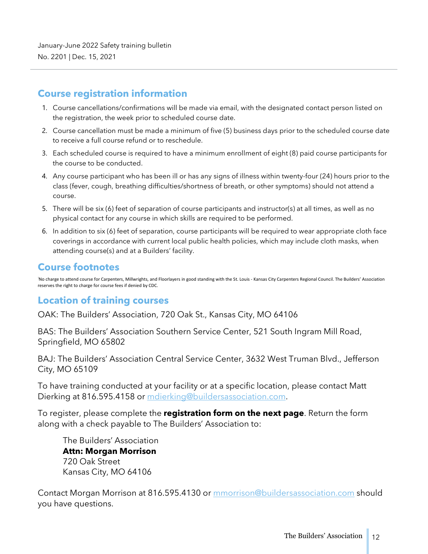#### **Course registration information**

- 1. Course cancellations/confirmations will be made via email, with the designated contact person listed on the registration, the week prior to scheduled course date.
- 2. Course cancellation must be made a minimum of five (5) business days prior to the scheduled course date to receive a full course refund or to reschedule.
- 3. Each scheduled course is required to have a minimum enrollment of eight (8) paid course participants for the course to be conducted.
- 4. Any course participant who has been ill or has any signs of illness within twenty-four (24) hours prior to the class (fever, cough, breathing difficulties/shortness of breath, or other symptoms) should not attend a course.
- 5. There will be six (6) feet of separation of course participants and instructor(s) at all times, as well as no physical contact for any course in which skills are required to be performed.
- 6. In addition to six (6) feet of separation, course participants will be required to wear appropriate cloth face coverings in accordance with current local public health policies, which may include cloth masks, when attending course(s) and at a Builders' facility.

#### **Course footnotes**

No charge to attend course for Carpenters, Millwrights, and Floorlayers in good standing with the St. Louis - Kansas City Carpenters Regional Council. The Builders' Association reserves the right to charge for course fees if denied by CDC.

#### **Location of training courses**

OAK: The Builders' Association, 720 Oak St., Kansas City, MO 64106

BAS: The Builders' Association Southern Service Center, 521 South Ingram Mill Road, Springfield, MO 65802

BAJ: The Builders' Association Central Service Center, 3632 West Truman Blvd., Jefferson City, MO 65109

To have training conducted at your facility or at a specific location, please contact Matt Dierking at 816.595.4158 or mdierking@buildersassociation.com.

To register, please complete the **registration form on the next page**. Return the form along with a check payable to The Builders' Association to:

The Builders' Association **Attn: Morgan Morrison** 720 Oak Street Kansas City, MO 64106

Contact Morgan Morrison at 816.595.4130 or mmorrison@buildersassociation.com should you have questions.